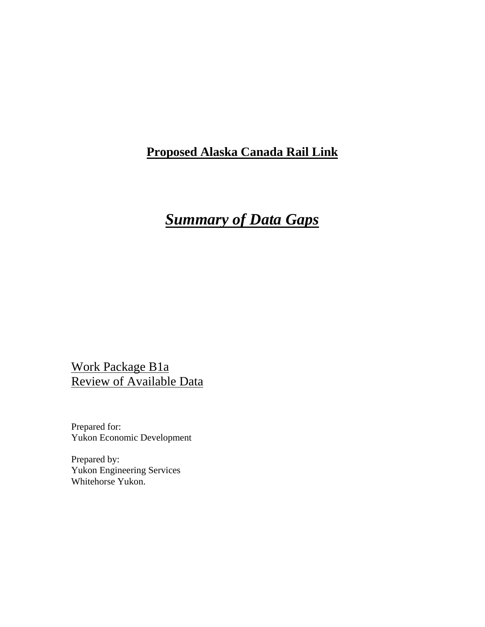### **Proposed Alaska Canada Rail Link**

# *Summary of Data Gaps*

Work Package B1a Review of Available Data

Prepared for: Yukon Economic Development

Prepared by: Yukon Engineering Services Whitehorse Yukon.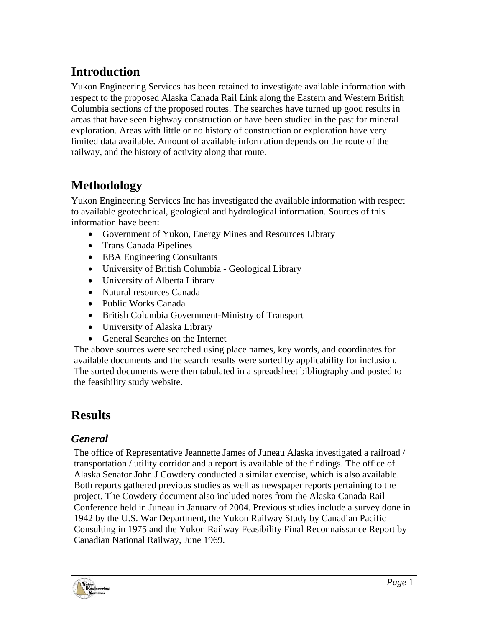# **Introduction**

Yukon Engineering Services has been retained to investigate available information with respect to the proposed Alaska Canada Rail Link along the Eastern and Western British Columbia sections of the proposed routes. The searches have turned up good results in areas that have seen highway construction or have been studied in the past for mineral exploration. Areas with little or no history of construction or exploration have very limited data available. Amount of available information depends on the route of the railway, and the history of activity along that route.

# **Methodology**

Yukon Engineering Services Inc has investigated the available information with respect to available geotechnical, geological and hydrological information. Sources of this information have been:

- Government of Yukon, Energy Mines and Resources Library
- Trans Canada Pipelines
- EBA Engineering Consultants
- University of British Columbia Geological Library
- University of Alberta Library
- Natural resources Canada
- Public Works Canada
- British Columbia Government-Ministry of Transport
- University of Alaska Library
- General Searches on the Internet

The above sources were searched using place names, key words, and coordinates for available documents and the search results were sorted by applicability for inclusion. The sorted documents were then tabulated in a spreadsheet bibliography and posted to the feasibility study website.

## **Results**

### *General*

The office of Representative Jeannette James of Juneau Alaska investigated a railroad / transportation / utility corridor and a report is available of the findings. The office of Alaska Senator John J Cowdery conducted a similar exercise, which is also available. Both reports gathered previous studies as well as newspaper reports pertaining to the project. The Cowdery document also included notes from the Alaska Canada Rail Conference held in Juneau in January of 2004. Previous studies include a survey done in 1942 by the U.S. War Department, the Yukon Railway Study by Canadian Pacific Consulting in 1975 and the Yukon Railway Feasibility Final Reconnaissance Report by Canadian National Railway, June 1969.

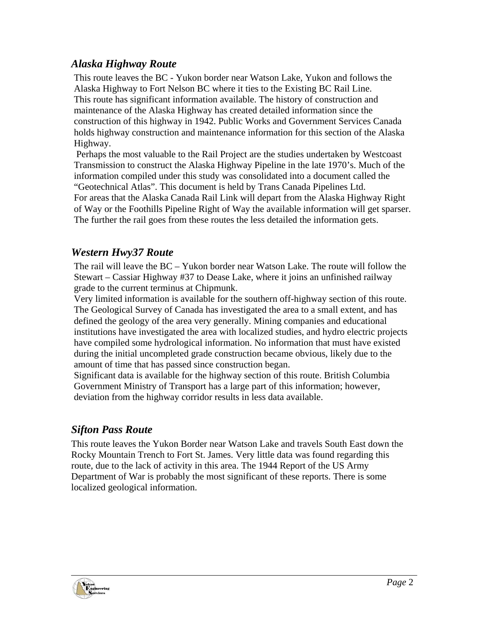### *Alaska Highway Route*

This route leaves the BC - Yukon border near Watson Lake, Yukon and follows the Alaska Highway to Fort Nelson BC where it ties to the Existing BC Rail Line. This route has significant information available. The history of construction and maintenance of the Alaska Highway has created detailed information since the construction of this highway in 1942. Public Works and Government Services Canada holds highway construction and maintenance information for this section of the Alaska Highway.

 Perhaps the most valuable to the Rail Project are the studies undertaken by Westcoast Transmission to construct the Alaska Highway Pipeline in the late 1970's. Much of the information compiled under this study was consolidated into a document called the "Geotechnical Atlas". This document is held by Trans Canada Pipelines Ltd. For areas that the Alaska Canada Rail Link will depart from the Alaska Highway Right of Way or the Foothills Pipeline Right of Way the available information will get sparser. The further the rail goes from these routes the less detailed the information gets.

#### *Western Hwy37 Route*

The rail will leave the BC – Yukon border near Watson Lake. The route will follow the Stewart – Cassiar Highway #37 to Dease Lake, where it joins an unfinished railway grade to the current terminus at Chipmunk.

Very limited information is available for the southern off-highway section of this route. The Geological Survey of Canada has investigated the area to a small extent, and has defined the geology of the area very generally. Mining companies and educational institutions have investigated the area with localized studies, and hydro electric projects have compiled some hydrological information. No information that must have existed during the initial uncompleted grade construction became obvious, likely due to the amount of time that has passed since construction began.

Significant data is available for the highway section of this route. British Columbia Government Ministry of Transport has a large part of this information; however, deviation from the highway corridor results in less data available.

### *Sifton Pass Route*

This route leaves the Yukon Border near Watson Lake and travels South East down the Rocky Mountain Trench to Fort St. James. Very little data was found regarding this route, due to the lack of activity in this area. The 1944 Report of the US Army Department of War is probably the most significant of these reports. There is some localized geological information.